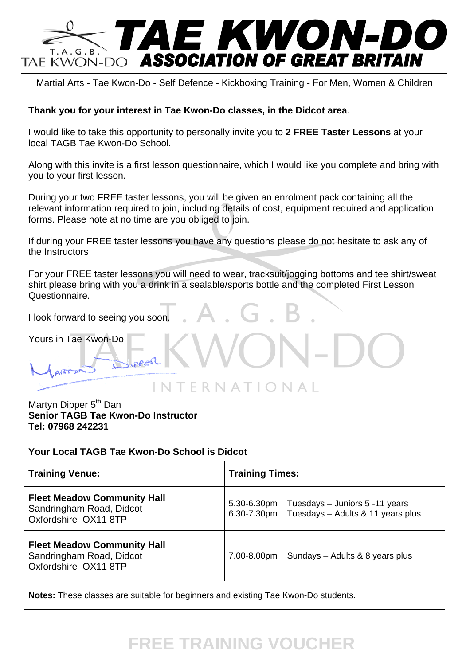

Martial Arts - Tae Kwon-Do - Self Defence - Kickboxing Training - For Men, Women & Children

## **Thank you for your interest in Tae Kwon-Do classes, in the Didcot area**.

I would like to take this opportunity to personally invite you to **2 FREE Taster Lessons** at your local TAGB Tae Kwon-Do School.

Along with this invite is a first lesson questionnaire, which I would like you complete and bring with you to your first lesson.

During your two FREE taster lessons, you will be given an enrolment pack containing all the relevant information required to join, including details of cost, equipment required and application forms. Please note at no time are you obliged to join.

If during your FREE taster lessons you have any questions please do not hesitate to ask any of the Instructors

For your FREE taster lessons you will need to wear, tracksuit/jogging bottoms and tee shirt/sweat shirt please bring with you a drink in a sealable/sports bottle and the completed First Lesson Questionnaire.

I look forward to seeing you soon.

Yours in Tae Kwon-Do

Martyn Dipper 5<sup>th</sup> Dan **Senior TAGB Tae Kwon-Do Instructor Tel: 07968 242231** 

| Your Local TAGB Tae Kwon-Do School is Didcot                                                |  |  |  |
|---------------------------------------------------------------------------------------------|--|--|--|
| <b>Training Times:</b>                                                                      |  |  |  |
| 5.30-6.30pm Tuesdays - Juniors 5 -11 years<br>6.30-7.30pm Tuesdays - Adults & 11 years plus |  |  |  |
| 7.00-8.00pm Sundays - Adults & 8 years plus                                                 |  |  |  |
|                                                                                             |  |  |  |

**Notes:** These classes are suitable for beginners and existing Tae Kwon-Do students.

## **FREE TRAINING VOUCHER**